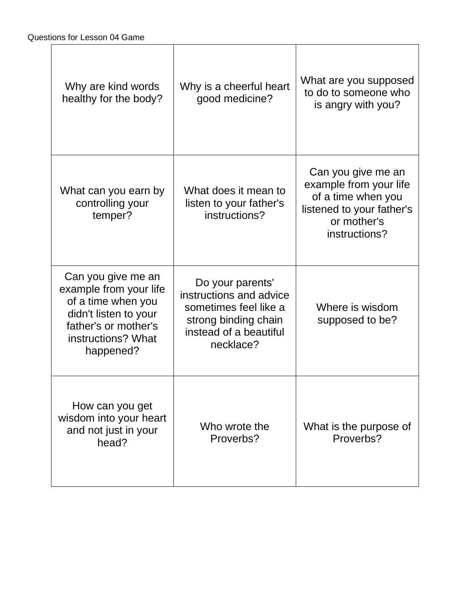| Why are kind words<br>healthy for the body?                                                                                                            | Why is a cheerful heart<br>good medicine?                                                                                           | What are you supposed<br>to do to someone who<br>is angry with you?                                                             |
|--------------------------------------------------------------------------------------------------------------------------------------------------------|-------------------------------------------------------------------------------------------------------------------------------------|---------------------------------------------------------------------------------------------------------------------------------|
| What can you earn by<br>controlling your<br>temper?                                                                                                    | What does it mean to<br>listen to your father's<br>instructions?                                                                    | Can you give me an<br>example from your life<br>of a time when you<br>listened to your father's<br>or mother's<br>instructions? |
| Can you give me an<br>example from your life<br>of a time when you<br>didn't listen to your<br>father's or mother's<br>instructions? What<br>happened? | Do your parents'<br>instructions and advice<br>sometimes feel like a<br>strong binding chain<br>instead of a beautiful<br>necklace? | Where is wisdom<br>supposed to be?                                                                                              |
| How can you get<br>wisdom into your heart<br>and not just in your<br>head?                                                                             | Who wrote the<br>Proverbs?                                                                                                          | What is the purpose of<br>Proverbs?                                                                                             |